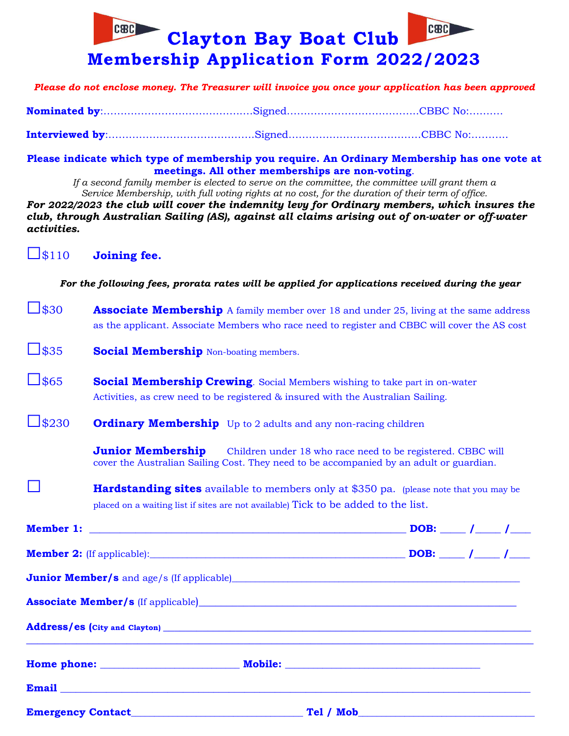

*Please do not enclose money. The Treasurer will invoice you once your application has been approved*

**Interviewed by**:…………………………………….Signed…………………………………CBBC No:………..

**Please indicate which type of membership you require. An Ordinary Membership has one vote at meetings. All other memberships are non-voting**.

*If a second family member is elected to serve on the committee, the committee will grant them a Service Membership, with full voting rights at no cost, for the duration of their term of office. For 2022/2023 the club will cover the indemnity levy for Ordinary members, which insures the* 

*club, through Australian Sailing (AS), against all claims arising out of on-water or off-water activities.*

□\$110 **Joining fee.**

*For the following fees, prorata rates will be applied for applications received during the year*

- □\$30 **Associate Membership** A family member over 18 and under 25, living at the same address as the applicant. Associate Members who race need to register and CBBC will cover the AS cost
- □\$35 **Social Membership** Non-boating members.
- □\$65 **Social Membership Crewing**. Social Members wishing to take part in on-water Activities, as crew need to be registered & insured with the Australian Sailing.
- **SACURE Ordinary Membership** Up to 2 adults and any non-racing children

**Junior Membership** Children under 18 who race need to be registered. CBBC will cover the Australian Sailing Cost. They need to be accompanied by an adult or guardian.

**Hardstanding sites** available to members only at \$350 pa. (please note that you may be placed on a waiting list if sites are not available) Tick to be added to the list.

| Associate Member/s (If applicable)<br><u>Associate Member/s</u> (If applicable)                                                                                                                                                      |  |  |  |
|--------------------------------------------------------------------------------------------------------------------------------------------------------------------------------------------------------------------------------------|--|--|--|
|                                                                                                                                                                                                                                      |  |  |  |
| Home phone: Mobile: Mobile: Mobile: Mobile: Mobile: Mobile: Mobile: Mobile: Mobile: Mobile: Mobile: Mobile: Mobile: Mobile: Mobile: Mobile: Mobile: Mobile: Mobile: Mobile: Mobile: Mobile: Mobile: Mobile: Mobile: Mobile: Mo       |  |  |  |
| Email <u>Email and the second contract of the second contract of the second contract of the second contract of the second contract of the second contract of the second contract of the second contract of the second contract o</u> |  |  |  |
|                                                                                                                                                                                                                                      |  |  |  |